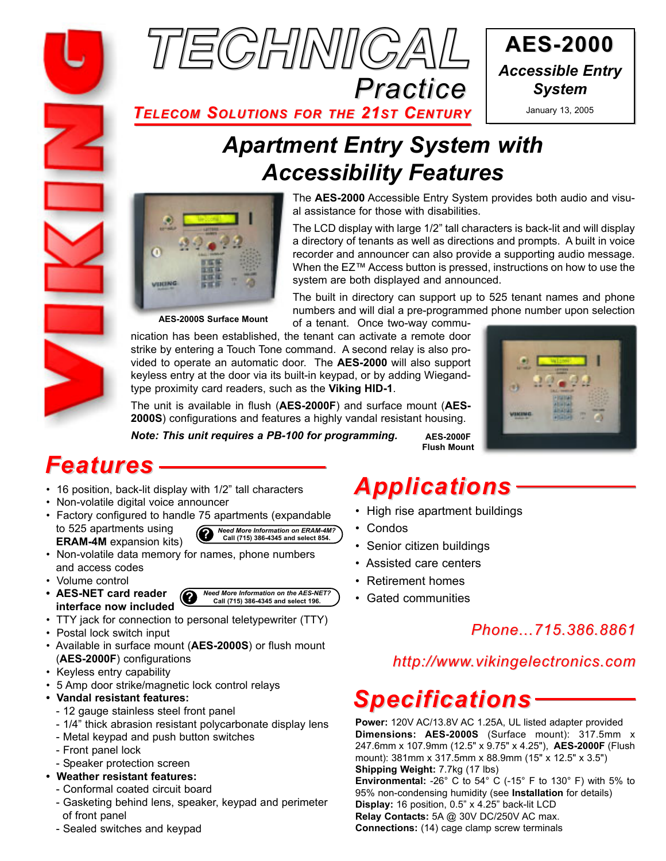



*TELECOM SOLUTIONS FOR THE 21ST CENTURY* January 13, 2005

# *Apartment Entry System with Accessibility Features*



The **AES-2000** Accessible Entry System provides both audio and visual assistance for those with disabilities.

The LCD display with large 1/2" tall characters is back-lit and will display a directory of tenants as well as directions and prompts. A built in voice recorder and announcer can also provide a supporting audio message. When the EZ™ Access button is pressed, instructions on how to use the system are both displayed and announced.

**AES-2000S Surface Mount**

The built in directory can support up to 525 tenant names and phone numbers and will dial a pre-programmed phone number upon selection of a tenant. Once two-way commu-

nication has been established, the tenant can activate a remote door strike by entering a Touch Tone command. A second relay is also provided to operate an automatic door. The **AES-2000** will also support keyless entry at the door via its built-in keypad, or by adding Wiegandtype proximity card readers, such as the **Viking HID-1**.

The unit is available in flush (**AES-2000F**) and surface mount (**AES-2000S**) configurations and features a highly vandal resistant housing.



*Note: This unit requires a PB-100 for programming.*

**AES-2000F Flush Mount**

## *Features*

- 
- Non-volatile digital voice announcer
- Factory configured to handle 75 apartments (expandable to 525 apartments using **ERAM-4M** expansion kits) **?** *Need More Information on ERAM-4M?* **Call (715) 386-4345 and select 854.**

• Non-volatile data memory for names, phone numbers and access codes

- Volume control
- **AES-NET card reader interface now included**
- TTY jack for connection to personal teletypewriter (TTY)
- Postal lock switch input
- Available in surface mount (**AES-2000S**) or flush mount (**AES-2000F**) configurations
- Keyless entry capability
- 5 Amp door strike/magnetic lock control relays
- **Vandal resistant features:**
- 12 gauge stainless steel front panel
- 1/4" thick abrasion resistant polycarbonate display lens
- Metal keypad and push button switches
- Front panel lock
- Speaker protection screen
- **Weather resistant features:**
	- Conformal coated circuit board
	- Gasketing behind lens, speaker, keypad and perimeter of front panel
	- Sealed switches and keypad

# • 16 position, back-lit display with 1/2" tall characters **Applications**

- High rise apartment buildings
- Condos
- Senior citizen buildings
- Assisted care centers
- Retirement homes
- Gated communities

## *Phone...715.386.8861*

### *http://www.vikingelectronics.com*

## *Specifications*

**Power:** 120V AC/13.8V AC 1.25A, UL listed adapter provided **Dimensions: AES-2000S** (Surface mount): 317.5mm x 247.6mm x 107.9mm (12.5" x 9.75" x 4.25"), **AES-2000F** (Flush mount): 381mm x 317.5mm x 88.9mm (15" x 12.5" x 3.5") **Shipping Weight:** 7.7kg (17 lbs) **Environmental:** -26° C to 54° C (-15° F to 130° F) with 5% to

95% non-condensing humidity (see **Installation** for details) **Display:** 16 position, 0.5" x 4.25" back-lit LCD **Relay Contacts:** 5A @ 30V DC/250V AC max.

**Connections:** (14) cage clamp screw terminals

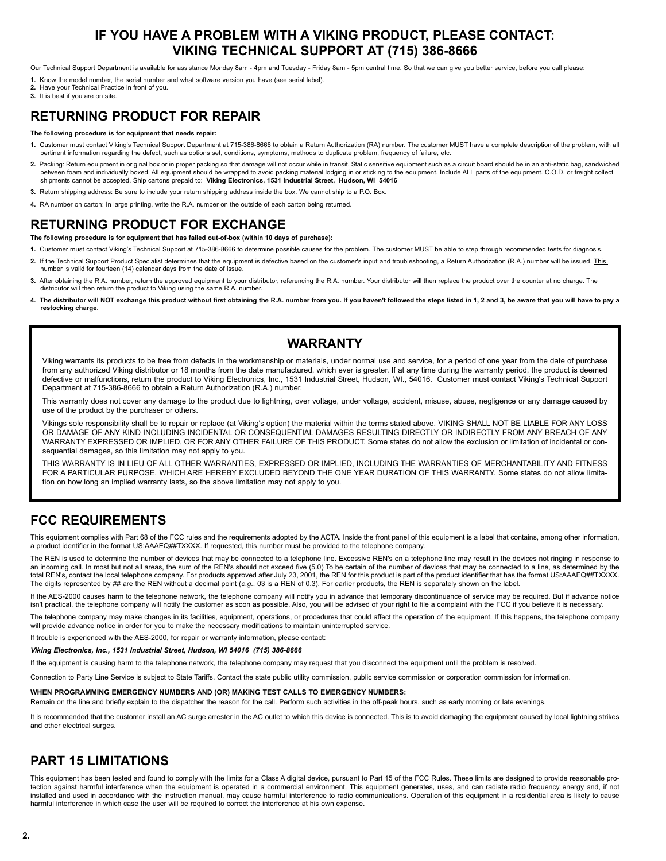### **IF YOU HAVE A PROBLEM WITH A VIKING PRODUCT, PLEASE CONTACT: VIKING TECHNICAL SUPPORT AT (715) 386-8666**

Our Technical Support Department is available for assistance Monday 8am - 4pm and Tuesday - Friday 8am - 5pm central time. So that we can give you better service, before you call please:

- **1.** Know the model number, the serial number and what software version you have (see serial label).
- **2.** Have your Technical Practice in front of you.
- **3.** It is best if you are on site.

### **RETURNING PRODUCT FOR REPAIR**

#### **The following procedure is for equipment that needs repair:**

- 1. Customer must contact Viking's Technical Support Department at 715-386-8666 to obtain a Return Authorization (RA) number. The customer MUST have a complete description of the problem, with all<br>pertinent information rega
- **2.** Packing: Return equipment in original box or in proper packing so that damage will not occur while in transit. Static sensitive equipment such as a circuit board should be in an anti-static bag, sandwiched between foam and individually boxed. All equipment should be wrapped to avoid packing material lodging in or sticking to the equipment. Include ALL parts of the equipment. C.O.D. or freight collect collect collect collect shipments cannot be accepted. Ship cartons prepaid to: **Viking Electronics, 1531 Industrial Street, Hudson, WI 54016**
- **3.** Return shipping address: Be sure to include your return shipping address inside the box. We cannot ship to a P.O. Box.
- **4.** RA number on carton: In large printing, write the R.A. number on the outside of each carton being returned.

### **RETURNING PRODUCT FOR EXCHANGE**

**The following procedure is for equipment that has failed out-of-box (within 10 days of purchase):**

- **1.** Customer must contact Viking's Technical Support at 715-386-8666 to determine possible causes for the problem. The customer MUST be able to step through recommended tests for diagnosis.
- **2.** If the Technical Support Product Specialist determines that the equipment is defective based on the customer's input and troubleshooting, a Return Authorization (R.A.) number will be issued. This number is valid for fourteen (14) calendar days from the date of issue.
- **3.** After obtaining the R.A. number, return the approved equipment to your distributor, referencing the R.A. number. Your distributor will then replace the product over the counter at no charge. The distributor will then return the product to Viking using the same R.A. number.
- **4. The distributor will NOT exchange this product without first obtaining the R.A. number from you. If you haven't followed the steps listed in 1, 2 and 3, be aware that you will have to pay a restocking charge.**

### **WARRANTY**

Viking warrants its products to be free from defects in the workmanship or materials, under normal use and service, for a period of one year from the date of purchase from any authorized Viking distributor or 18 months from the date manufactured, which ever is greater. If at any time during the warranty period, the product is deemed defective or malfunctions, return the product to Viking Electronics, Inc., 1531 Industrial Street, Hudson, WI., 54016. Customer must contact Viking's Technical Support Department at 715-386-8666 to obtain a Return Authorization (R.A.) number.

This warranty does not cover any damage to the product due to lightning, over voltage, under voltage, accident, misuse, abuse, negligence or any damage caused by use of the product by the purchaser or others.

Vikings sole responsibility shall be to repair or replace (at Viking's option) the material within the terms stated above. VIKING SHALL NOT BE LIABLE FOR ANY LOSS OR DAMAGE OF ANY KIND INCLUDING INCIDENTAL OR CONSEQUENTIAL DAMAGES RESULTING DIRECTLY OR INDIRECTLY FROM ANY BREACH OF ANY WARRANTY EXPRESSED OR IMPLIED, OR FOR ANY OTHER FAILURE OF THIS PRODUCT. Some states do not allow the exclusion or limitation of incidental or consequential damages, so this limitation may not apply to you.

THIS WARRANTY IS IN LIEU OF ALL OTHER WARRANTIES, EXPRESSED OR IMPLIED, INCLUDING THE WARRANTIES OF MERCHANTABILITY AND FITNESS FOR A PARTICULAR PURPOSE, WHICH ARE HEREBY EXCLUDED BEYOND THE ONE YEAR DURATION OF THIS WARRANTY. Some states do not allow limitation on how long an implied warranty lasts, so the above limitation may not apply to you.

### **FCC REQUIREMENTS**

This equipment complies with Part 68 of the FCC rules and the requirements adopted by the ACTA. Inside the front panel of this equipment is a label that contains, among other information, a product identifier in the format US:AAAEQ##TXXXX. If requested, this number must be provided to the telephone company.

The REN is used to determine the number of devices that may be connected to a telephone line. Excessive REN's on a telephone line may result in the devices not ringing in response to an incoming call. In most but not all areas, the sum of the REN's should not exceed five (5.0) To be certain of the number of devices that may be connected to a line, as determined by the total REN's, contact the local telephone company. For products approved after July 23, 2001, the REN for this product is part of the product identifier that has the format US:AAAEQ##TXXXX. The digits represented by ## are the REN without a decimal point (*e.g*., 03 is a REN of 0.3). For earlier products, the REN is separately shown on the label.

If the AES-2000 causes harm to the telephone network, the telephone company will notify you in advance that temporary discontinuance of service may be required. But if advance notice isn't practical, the telephone company will notify the customer as soon as possible. Also, you will be advised of your right to file a complaint with the FCC if you believe it is necessary.

The telephone company may make changes in its facilities, equipment, operations, or procedures that could affect the operation of the equipment. If this happens, the telephone company will provide advance notice in order for you to make the necessary modifications to maintain uninterrupted service.

If trouble is experienced with the AES-2000, for repair or warranty information, please contact:

#### *Viking Electronics, Inc., 1531 Industrial Street, Hudson, WI 54016 (715) 386-8666*

If the equipment is causing harm to the telephone network, the telephone company may request that you disconnect the equipment until the problem is resolved.

Connection to Party Line Service is subject to State Tariffs. Contact the state public utility commission, public service commission or corporation commission for information.

#### **WHEN PROGRAMMING EMERGENCY NUMBERS AND (OR) MAKING TEST CALLS TO EMERGENCY NUMBERS:**

Remain on the line and briefly explain to the dispatcher the reason for the call. Perform such activities in the off-peak hours, such as early morning or late evenings.

It is recommended that the customer install an AC surge arrester in the AC outlet to which this device is connected. This is to avoid damaging the equipment caused by local lightning strikes and other electrical surges.

### **PART 15 LIMITATIONS**

This equipment has been tested and found to comply with the limits for a Class A digital device, pursuant to Part 15 of the FCC Rules. These limits are designed to provide reasonable protection against harmful interference when the equipment is operated in a commercial environment. This equipment generates, uses, and can radiate radio frequency energy and, if not installed and used in accordance with the instruction manual, may cause harmful interference to radio communications. Operation of this equipment in a residential area is likely to cause harmful interference in which case the user will be required to correct the interference at his own expense.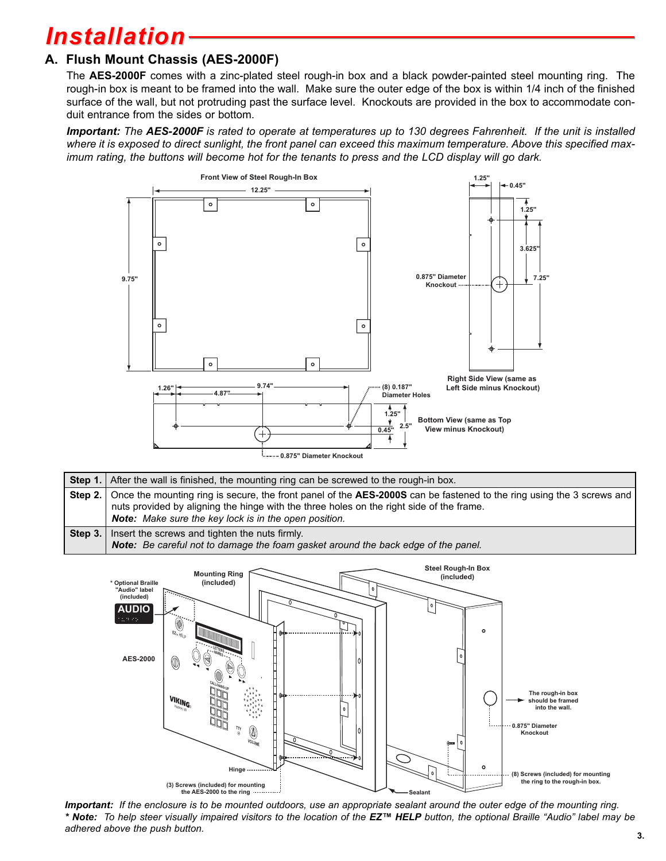# *Installation*

### **A. Flush Mount Chassis (AES-2000F)**

The **AES-2000F** comes with a zinc-plated steel rough-in box and a black powder-painted steel mounting ring. The rough-in box is meant to be framed into the wall. Make sure the outer edge of the box is within 1/4 inch of the finished surface of the wall, but not protruding past the surface level. Knockouts are provided in the box to accommodate conduit entrance from the sides or bottom.

*Important: The AES-2000F is rated to operate at temperatures up to 130 degrees Fahrenheit. If the unit is installed where it is exposed to direct sunlight, the front panel can exceed this maximum temperature. Above this specified maximum rating, the buttons will become hot for the tenants to press and the LCD display will go dark.*



|         | Step 1. After the wall is finished, the mounting ring can be screwed to the rough-in box.                                                                                                                                                                                          |
|---------|------------------------------------------------------------------------------------------------------------------------------------------------------------------------------------------------------------------------------------------------------------------------------------|
|         | Step 2. Once the mounting ring is secure, the front panel of the AES-2000S can be fastened to the ring using the 3 screws and<br>nuts provided by aligning the hinge with the three holes on the right side of the frame.<br>Note: Make sure the key lock is in the open position. |
| Step 3. | Insert the screws and tighten the nuts firmly.<br>Note: Be careful not to damage the foam gasket around the back edge of the panel.                                                                                                                                                |



*Important: If the enclosure is to be mounted outdoors, use an appropriate sealant around the outer edge of the mounting ring. \* Note: To help steer visually impaired visitors to the location of the EZ™ HELP button, the optional Braille "Audio" label may be adhered above the push button.* **3.**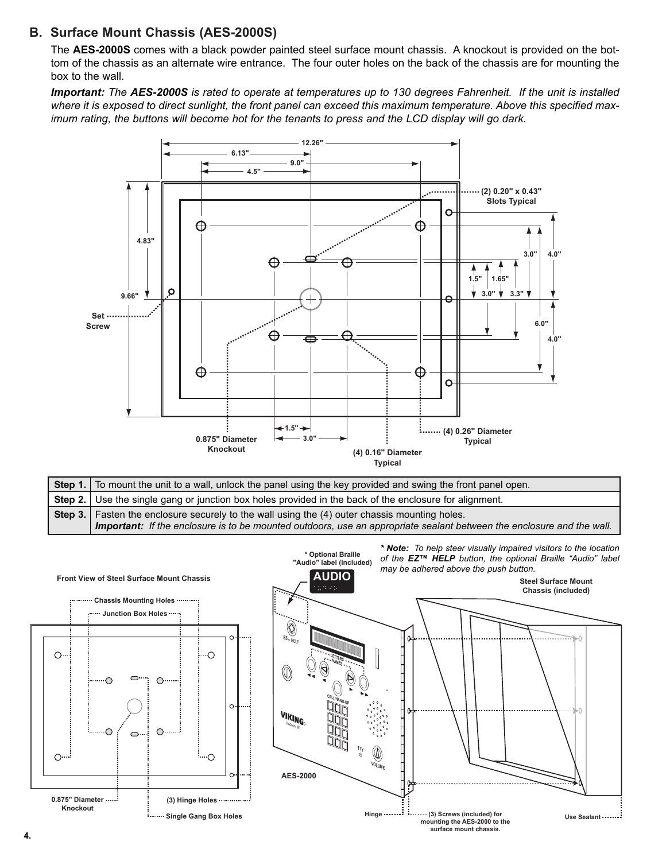### **B. Surface Mount Chassis (AES-2000S)**

The **AES-2000S** comes with a black powder painted steel surface mount chassis. A knockout is provided on the bottom of the chassis as an alternate wire entrance. The four outer holes on the back of the chassis are for mounting the box to the wall.

*Important: The AES-2000S is rated to operate at temperatures up to 130 degrees Fahrenheit. If the unit is installed where it is exposed to direct sunlight, the front panel can exceed this maximum temperature. Above this specified maximum rating, the buttons will become hot for the tenants to press and the LCD display will go dark.*



| Step 1. To mount the unit to a wall, unlock the panel using the key provided and swing the front panel open.                 |
|------------------------------------------------------------------------------------------------------------------------------|
| Step 2.   Use the single gang or junction box holes provided in the back of the enclosure for alignment.                     |
| <b>Step 3.</b> Fasten the enclosure securely to the wall using the (4) outer chassis mounting holes.                         |
| <b>Important:</b> If the enclosure is to be mounted outdoors, use an appropriate sealant between the enclosure and the wall. |



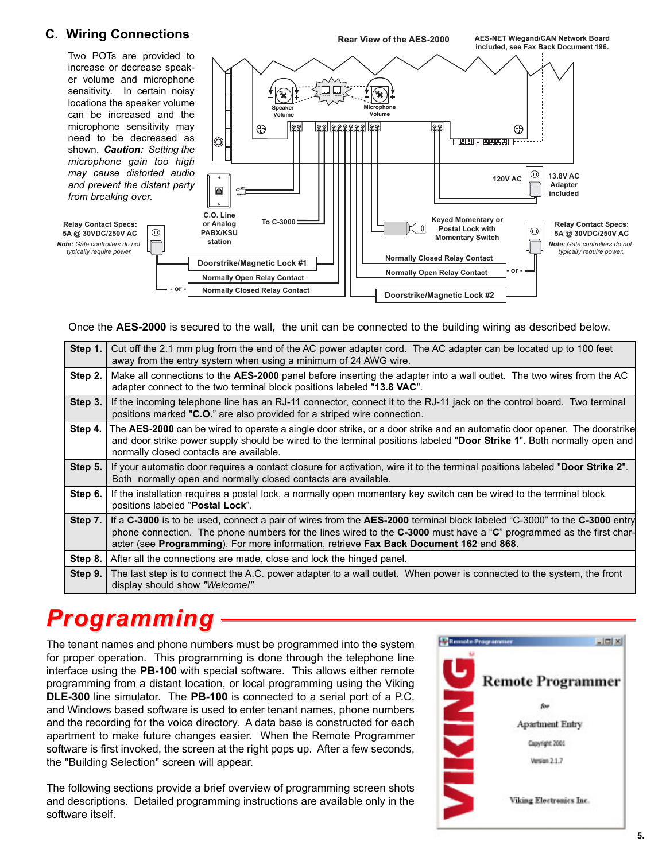### **C. Wiring Connections**



Once the **AES-2000** is secured to the wall, the unit can be connected to the building wiring as described below.

| Step 1.   | Cut off the 2.1 mm plug from the end of the AC power adapter cord. The AC adapter can be located up to 100 feet<br>away from the entry system when using a minimum of 24 AWG wire.                                                                                                                                                        |
|-----------|-------------------------------------------------------------------------------------------------------------------------------------------------------------------------------------------------------------------------------------------------------------------------------------------------------------------------------------------|
| Step 2.   | Make all connections to the AES-2000 panel before inserting the adapter into a wall outlet. The two wires from the AC<br>adapter connect to the two terminal block positions labeled "13.8 VAC".                                                                                                                                          |
| Step 3.   | If the incoming telephone line has an RJ-11 connector, connect it to the RJ-11 jack on the control board. Two terminal<br>positions marked "C.O." are also provided for a striped wire connection.                                                                                                                                        |
| Step 4.   | The AES-2000 can be wired to operate a single door strike, or a door strike and an automatic door opener. The doorstrike<br>and door strike power supply should be wired to the terminal positions labeled "Door Strike 1". Both normally open and<br>normally closed contacts are available.                                             |
| Step $5.$ | If your automatic door requires a contact closure for activation, wire it to the terminal positions labeled "Door Strike 2".<br>Both normally open and normally closed contacts are available.                                                                                                                                            |
| Step 6.   | If the installation requires a postal lock, a normally open momentary key switch can be wired to the terminal block<br>positions labeled "Postal Lock".                                                                                                                                                                                   |
| Step $7.$ | If a C-3000 is to be used, connect a pair of wires from the AES-2000 terminal block labeled "C-3000" to the C-3000 entry<br>phone connection. The phone numbers for the lines wired to the C-3000 must have a "C" programmed as the first char-<br>acter (see Programming). For more information, retrieve Fax Back Document 162 and 868. |
| Step 8.   | After all the connections are made, close and lock the hinged panel.                                                                                                                                                                                                                                                                      |
| Step 9.   | The last step is to connect the A.C. power adapter to a wall outlet. When power is connected to the system, the front<br>display should show "Welcome!"                                                                                                                                                                                   |

# *Programming*

The tenant names and phone numbers must be programmed into the system for proper operation. This programming is done through the telephone line interface using the **PB-100** with special software. This allows either remote programming from a distant location, or local programming using the Viking **DLE-300** line simulator. The **PB-100** is connected to a serial port of a P.C. and Windows based software is used to enter tenant names, phone numbers and the recording for the voice directory. A data base is constructed for each apartment to make future changes easier. When the Remote Programmer software is first invoked, the screen at the right pops up. After a few seconds, the "Building Selection" screen will appear.

The following sections provide a brief overview of programming screen shots and descriptions. Detailed programming instructions are available only in the software itself.



**AES-NET Wiegand/CAN Network Board**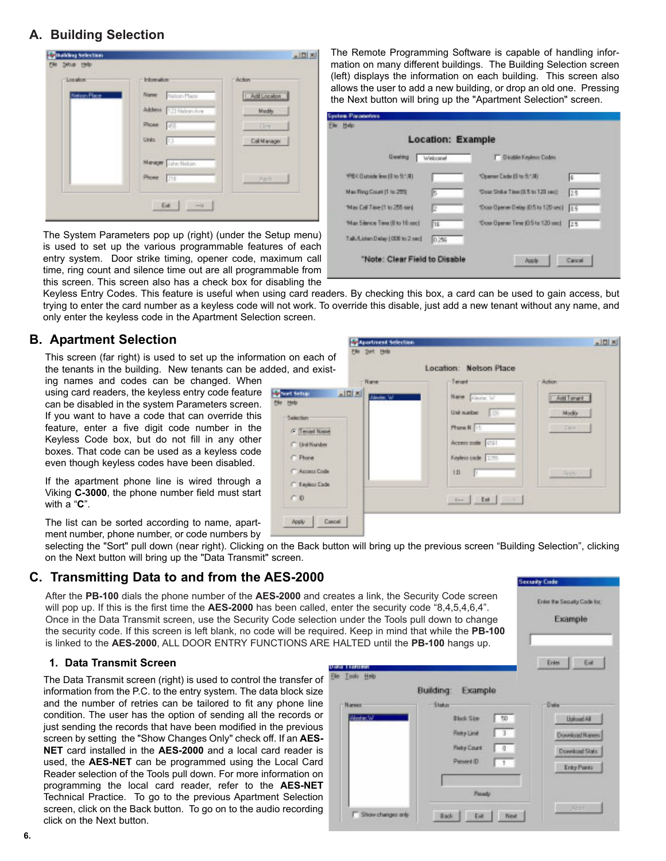### **A. Building Selection**

| -Location           | <b>Information:</b>        | - Action     |
|---------------------|----------------------------|--------------|
| <b>Nelson Place</b> | Motory Place<br>Name       | Add Location |
|                     | Address [173 Malays Ave.   | Modify       |
|                     | <b>Phone</b><br>学方         | Dent         |
|                     | Units<br>13                | Cal Manager  |
|                     | Manager <i>Laha</i> Halton |              |
|                     | Phone<br>218               | 开放线          |

The System Parameters pop up (right) (under the Setup menu) is used to set up the various programmable features of each entry system. Door strike timing, opener code, maximum call time, ring count and silence time out are all programmable from this screen. This screen also has a check box for disabling the

The Remote Programming Software is capable of handling information on many different buildings. The Building Selection screen (left) displays the information on each building. This screen also allows the user to add a new building, or drop an old one. Pressing the Next button will bring up the "Apartment Selection" screen.

|                                  | Location: Example |                                    |     |
|----------------------------------|-------------------|------------------------------------|-----|
| <b>Greening</b>                  | Welcomel          | <b>T Disable Kepleus Codes</b>     |     |
| PSX Outside level (I to 9.1.4)   |                   | *Opener Code (8 to 9.1.4)          | Ιš  |
| Max Ring Count (1 to 25%)        |                   | 'Dopr Shike Time (E 5 to 120 sec)  | 25  |
| "Max Call Time (1 to 255 nin)    | E                 | "Door Opener Deas (0.5 to 120 sec) | 115 |
| 'Max Silence Time (B to 16 sec)  | Πк                | 'Ocer Operer Time (0.5 to 120 sec) | 25  |
| Talk/Lichan Delay 1008 to 2 sec! | 0.256             |                                    |     |

 $\frac{1}{2}$ 

Keyless Entry Codes. This feature is useful when using card readers. By checking this box, a card can be used to gain access, but trying to enter the card number as a keyless code will not work. To override this disable, just add a new tenant without any name, and only enter the keyless code in the Apartment Selection screen.

**Stagestment St** 

### **B. Apartment Selection**

This screen (far right) is used to set up the information on each of the tenants in the building. New tenants can be added, and exist-

ing names and codes can be changed. When using card readers, the keyless entry code feature can be disabled in the system Parameters screen. If you want to have a code that can override this feature, enter a five digit code number in the Keyless Code box, but do not fill in any other boxes. That code can be used as a keyless code even though keyless codes have been disabled.

If the apartment phone line is wired through a Viking **C-3000**, the phone number field must start with a "**C**".

The list can be sorted according to name, apartment number, phone number, or code numbers by

selecting the "Sort" pull down (near right). Clicking on the Back button will bring up the previous screen "Building Selection", clicking on the Next button will bring up the "Data Transmit" screen.

### **C. Transmitting Data to and from the AES-2000**

After the **PB-100** dials the phone number of the AES-2000 and will pop up. If this is the first time the AES-2000 has been calle Once in the Data Transmit screen, use the Security Code selection under the Tools and the security code. If this screen is left blank, no code will be re is linked to the **AES-2000**, ALL DOOR ENTRY FUNCTIONS A

#### **1. Data Transmit Screen**

The Data Transmit screen (right) is used to control the transfer information from the P.C. to the entry system. The data block size and the number of retries can be tailored to fit any phone line condition. The user has the option of sending all the records just sending the records that have been modified in the previou screen by setting the "Show Changes Only" check off. If an **AES-NET** card installed in the AES-2000 and a local card reader used, the **AES-NET** can be programmed using the Local Car Reader selection of the Tools pull down. For more information o programming the local card reader, refer to the **AES-NE** Technical Practice. To go to the previous Apartment Selection screen, click on the Back button. To go on to the audio recording click on the Next button.

|                           |                                                                                                                                                                                                                             | <b>Security Code</b>                   |
|---------------------------|-----------------------------------------------------------------------------------------------------------------------------------------------------------------------------------------------------------------------------|----------------------------------------|
|                           | d creates a link, the Security Code screen<br>ed, enter the security code "8,4,5,4,6,4".<br>ction under the Tools pull down to change<br>quired. Keep in mind that while the PB-100<br>RE HALTED until the PB-100 hangs up. | Enter the Security Code for<br>Example |
| Tool: Heb<br><b>Fight</b> | <b>Building</b><br>Example                                                                                                                                                                                                  | Est<br>Enter                           |
| Named                     | <b>Status</b>                                                                                                                                                                                                               | <b>D</b> what                          |
|                           | <b>Black Size</b><br>50                                                                                                                                                                                                     | <b>Upload All</b>                      |
|                           | <b>Rety Link</b>                                                                                                                                                                                                            | Download Names                         |
|                           |                                                                                                                                                                                                                             |                                        |
|                           | <b>Fletcy Count</b>                                                                                                                                                                                                         | Download Stats                         |
|                           | Present ID                                                                                                                                                                                                                  | Entry Points                           |
|                           |                                                                                                                                                                                                                             |                                        |
|                           | <b>Flasady</b>                                                                                                                                                                                                              |                                        |

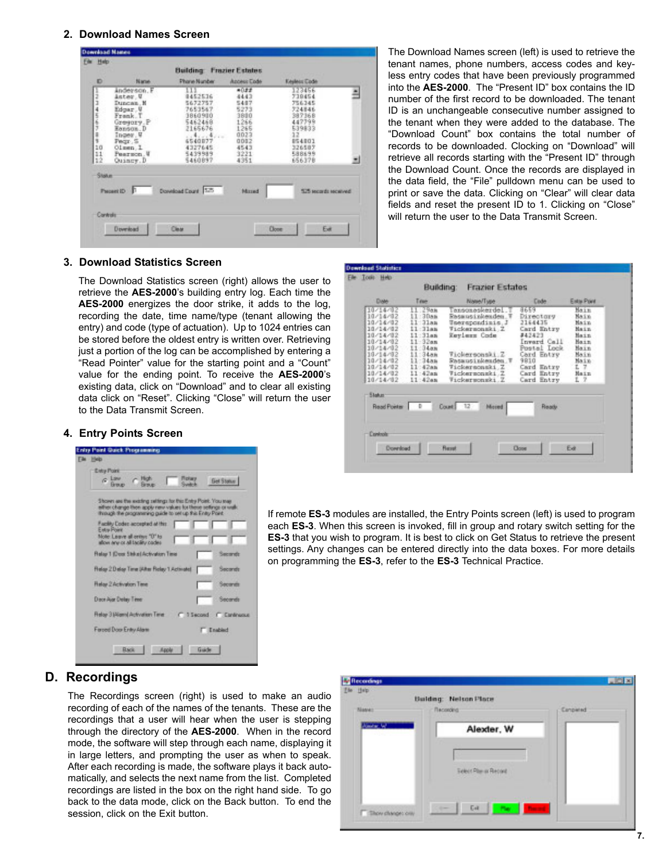#### **2. Download Names Screen**

| Đ                  | Name.                                                                                                                                                        | Phone Number                                                                                                                    | <b>Access Ende</b>                                                                          | Keyless Code                                                                                               |   |
|--------------------|--------------------------------------------------------------------------------------------------------------------------------------------------------------|---------------------------------------------------------------------------------------------------------------------------------|---------------------------------------------------------------------------------------------|------------------------------------------------------------------------------------------------------------|---|
| 10<br>11<br>12     | Anderson, F<br>Anter V<br>Duncan, N<br>Edgar V<br>Frank. T<br>Gregory.P<br>Ronson, D<br>Toger, U<br>Pmqr.S.<br>Olsen <sub>, I</sub><br>Pearson.W<br>Quincy.D | 113<br>9452536<br>5672757<br>7653567<br>3860900<br>5462458<br>2165676<br>Acres Garage<br>65408<br>4327645<br>5439989<br>5460897 | 022<br>4443<br>5487<br>5273<br>3800<br>1266<br>1265<br>0023<br>0002<br>4543<br>3221<br>4351 | 123456<br>739454<br>756345<br>724846<br>387368<br>447799<br>539833<br>054003<br>326587<br>588699<br>656378 | ≛ |
| Stoker<br>Controls | Passet ID                                                                                                                                                    | Download Court 575                                                                                                              | Missed                                                                                      | 525 seconds securived                                                                                      |   |

The Download Names screen (left) is used to retrieve the tenant names, phone numbers, access codes and keyless entry codes that have been previously programmed into the **AES-2000**. The "Present ID" box contains the ID number of the first record to be downloaded. The tenant ID is an unchangeable consecutive number assigned to the tenant when they were added to the database. The "Download Count" box contains the total number of records to be downloaded. Clocking on "Download" will retrieve all records starting with the "Present ID" through the Download Count. Once the records are displayed in the data field, the "File" pulldown menu can be used to print or save the data. Clicking on "Clear" will clear data fields and reset the present ID to 1. Clicking on "Close" will return the user to the Data Transmit Screen.

#### **3. Download Statistics Screen**

The Download Statistics screen (right) allows the user to retrieve the **AES-2000**'s building entry log. Each time the **AES-2000** energizes the door strike, it adds to the log, recording the date, time name/type (tenant allowing the entry) and code (type of actuation). Up to 1024 entries can be stored before the oldest entry is written over. Retrieving just a portion of the log can be accomplished by entering a "Read Pointer" value for the starting point and a "Count" value for the ending point. To receive the **AES-2000**'s existing data, click on "Download" and to clear all existing data click on "Reset". Clicking "Close" will return the user to the Data Transmit Screen.

#### **4. Entry Points Screen**

|                  | Living Point Quick Programming                                                                                                                                                               |
|------------------|----------------------------------------------------------------------------------------------------------------------------------------------------------------------------------------------|
| <b>File High</b> |                                                                                                                                                                                              |
|                  | <b>Entry Point</b><br>$C$ Law<br>High<br><b><i><u>Rotary</u></i></b><br><b>Get Status</b><br>Switch<br><b>Breue</b><br><b>Breuzo</b>                                                         |
|                  | Shown are the wasting sellings for this Entry Point. You may<br>either change then apply new values for these sellings or walk.<br>through the programming guide to set up this Entry Point. |
|                  | Facility Ender: accepted at this<br>Extra Point<br>Mote Leave all arrive "O" to<br>allow any or all tacility cades.                                                                          |
|                  | Relay 1 (Deer Shike) Activation Time<br>Secondo                                                                                                                                              |
|                  | Fielay 2.Delay Time (Alter Fielay 1.Activate)<br>Secondo                                                                                                                                     |
|                  | <b>Halay 2 Activation Taxe</b><br>Seconds                                                                                                                                                    |
|                  | Dave Aust Delay Time:<br>Secarate                                                                                                                                                            |
|                  | Relay 3 (Alarm) Activation Time<br>C 3 Second C Cantinuous                                                                                                                                   |
|                  | Ferced Door Entry Alam<br>Enabled                                                                                                                                                            |
|                  | Guide<br><b>Rack</b><br><b>Apple</b>                                                                                                                                                         |

| Date:<br>10/14/02    | Time<br>11:29am             | Nation Type<br>ansonaskerdel.T | Code<br>8659              | Esta Pont<br>Naim |
|----------------------|-----------------------------|--------------------------------|---------------------------|-------------------|
| 10/14/02             | 11:30an                     | Rassusinkenden T               | Directory                 | Nain              |
| 10/14/02             | $11 - 31an$                 | Tnerepondinis, J               | 2164435                   | Main              |
| 18/14/82             | $11 - 31a8$                 | Tickersonski Z                 | Card Entry                | Main              |
| 10/14/02             | $11 - 31$ an                | Keylezz Code                   | #42423                    | Main              |
| 10/14/02<br>10/14/02 | $11 - 32$ an<br>$11 - 34am$ |                                | Inward Call               | Hain              |
| 10/14/02             | $-3488$                     | Tickersonski.Z                 | Postal Lock<br>Card Entry | Main<br>Main      |
| 10/14/02             | $11 - 34m$                  | Rasausinkeaden.T               | 9810                      | Main              |
| 10/14/02             | 11:42an                     | Tickersonski, Z                | Card Entry                | L 7               |
| 10/14/02             | $11 - 42$ an                | Vickermonmki.Z                 | Card Entry                | Main              |
| 10/14/02             | 11:42an                     | Tickersonski Z                 | Card Entry                | $L$ $2$           |
| <b>Status</b>        |                             |                                |                           |                   |
| Read Pointer D       |                             | Count 12<br>Mored              | Ready                     |                   |
|                      |                             |                                |                           |                   |
|                      |                             |                                |                           |                   |
| Controls             |                             |                                |                           |                   |
|                      |                             |                                |                           |                   |

If remote **ES-3** modules are installed, the Entry Points screen (left) is used to program each **ES-3**. When this screen is invoked, fill in group and rotary switch setting for the **ES-3** that you wish to program. It is best to click on Get Status to retrieve the present settings. Any changes can be entered directly into the data boxes. For more details on programming the **ES-3**, refer to the **ES-3** Technical Practice.

### **D. Recordings**

The Recordings screen (right) is used to make an audio recording of each of the names of the tenants. These are the recordings that a user will hear when the user is stepping through the directory of the **AES-2000**. When in the record mode, the software will step through each name, displaying it in large letters, and prompting the user as when to speak. After each recording is made, the software plays it back automatically, and selects the next name from the list. Completed recordings are listed in the box on the right hand side. To go back to the data mode, click on the Back button. To end the session, click on the Exit button.